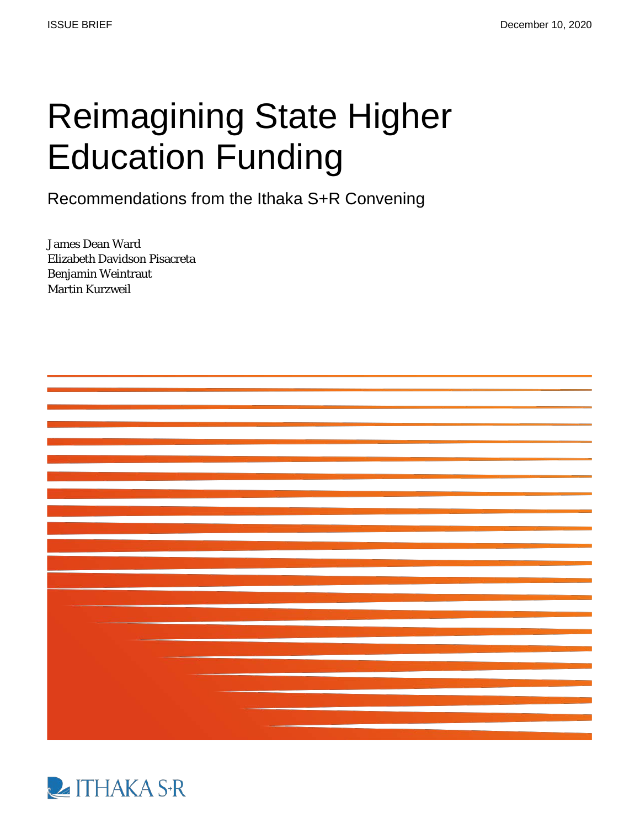# Reimagining State Higher Education Funding<br>Recommendations from the Ithaka S+R Convening

James Dean Ward Elizabeth Davidson Pisacreta Benjamin Weintraut Martin Kurzweil



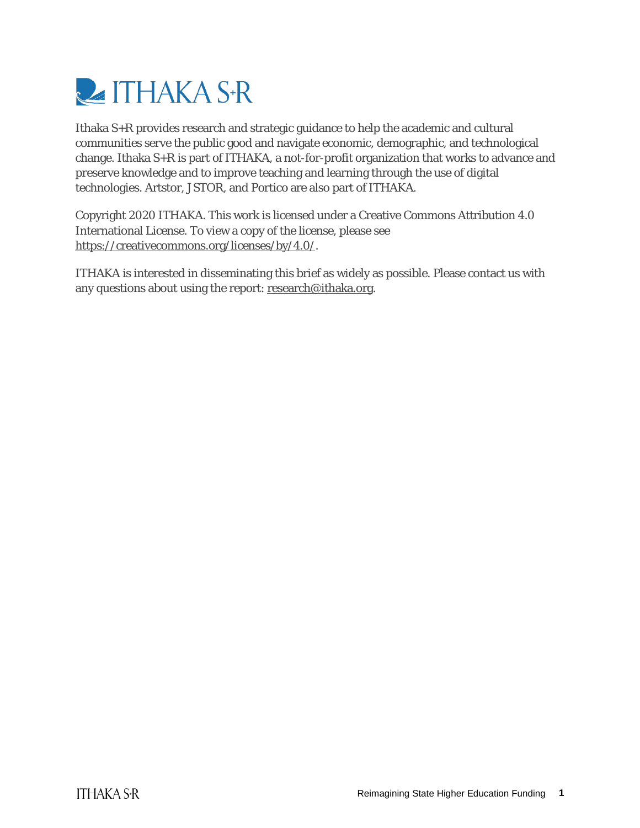

Ithaka S+R provides research and strategic guidance to help the academic and cultural communities serve the public good and navigate economic, demographic, and technological change. Ithaka S+R is part of ITHAKA, a not-for-profit organization that works to advance and preserve knowledge and to improve teaching and learning through the use of digital technologies. Artstor, JSTOR, and Portico are also part of ITHAKA.

Copyright 2020 ITHAKA. This work is licensed under a Creative Commons Attribution 4.0 International License. To view a copy of the license, please see [https://creativecommons.org/licenses/by/4.0/.](https://creativecommons.org/licenses/by/4.0/)

ITHAKA is interested in disseminating this brief as widely as possible. Please contact us with any questions about using the report[: research@ithaka.org.](mailto:research@ithaka.org)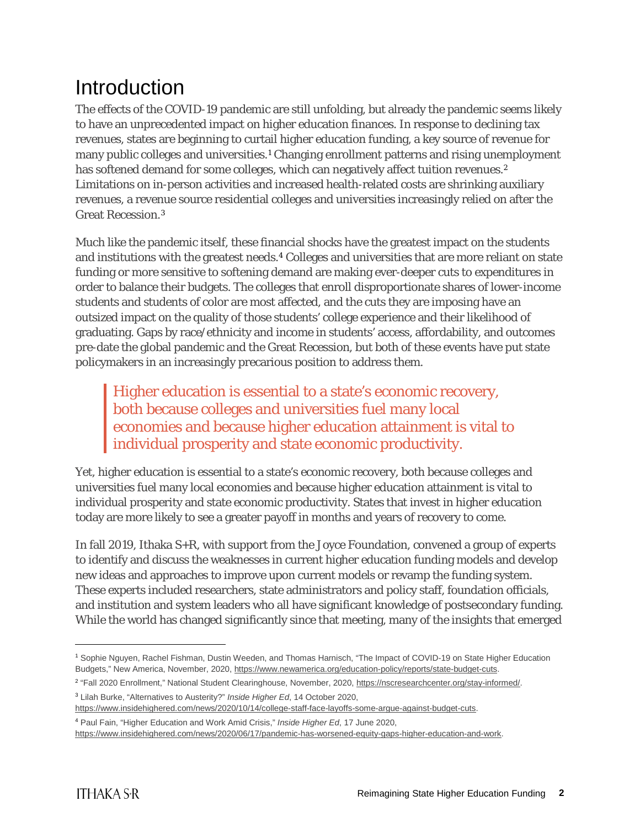# Introduction

The effects of the COVID-19 pandemic are still unfolding, but already the pandemic seems likely to have an unprecedented impact on higher education finances. In response to declining tax revenues, states are beginning to curtail higher education funding, a key source of revenue for many public colleges and universities.[1](#page-2-0) Changing enrollment patterns and rising unemployment has softened demand for some colleges, which can negatively affect tuition revenues.<sup>[2](#page-2-1)</sup> Limitations on in-person activities and increased health-related costs are shrinking auxiliary revenues, a revenue source residential colleges and universities increasingly relied on after the Great Recession.[3](#page-2-2) 

Much like the pandemic itself, these financial shocks have the greatest impact on the students and institutions with the greatest needs.[4](#page-2-3) Colleges and universities that are more reliant on state funding or more sensitive to softening demand are making ever-deeper cuts to expenditures in order to balance their budgets. The colleges that enroll disproportionate shares of lower-income students and students of color are most affected, and the cuts they are imposing have an outsized impact on the quality of those students' college experience and their likelihood of graduating. Gaps by race/ethnicity and income in students' access, affordability, and outcomes pre-date the global pandemic and the Great Recession, but both of these events have put state policymakers in an increasingly precarious position to address them.

Higher education is essential to a state's economic recovery, both because colleges and universities fuel many local economies and because higher education attainment is vital to individual prosperity and state economic productivity.

Yet, higher education is essential to a state's economic recovery, both because colleges and universities fuel many local economies and because higher education attainment is vital to individual prosperity and state economic productivity. States that invest in higher education today are more likely to see a greater payoff in months and years of recovery to come.

In fall 2019, Ithaka S+R, with support from the Joyce Foundation, convened a group of experts to identify and discuss the weaknesses in current higher education funding models and develop new ideas and approaches to improve upon current models or revamp the funding system. These experts included researchers, state administrators and policy staff, foundation officials, and institution and system leaders who all have significant knowledge of postsecondary funding. While the world has changed significantly since that meeting, many of the insights that emerged

<span id="page-2-0"></span><sup>1</sup> Sophie Nguyen, Rachel Fishman, Dustin Weeden, and Thomas Harnisch, "The Impact of COVID-19 on State Higher Education Budgets," New America, November, 2020, [https://www.newamerica.org/education-policy/reports/state-budget-cuts.](https://www.newamerica.org/education-policy/reports/state-budget-cuts)

<span id="page-2-1"></span><sup>&</sup>lt;sup>2</sup> "Fall 2020 Enrollment," National Student Clearinghouse, November, 2020, https://nscresearchcenter.org/stay-informed/.

<span id="page-2-2"></span><sup>3</sup> Lilah Burke, "Alternatives to Austerity?" *Inside Higher Ed*, 14 October 2020,

[https://www.insidehighered.com/news/2020/10/14/college-staff-face-layoffs-some-argue-against-budget-cuts.](https://www.insidehighered.com/news/2020/10/14/college-staff-face-layoffs-some-argue-against-budget-cuts) 

<span id="page-2-3"></span><sup>4</sup> Paul Fain, "Higher Education and Work Amid Crisis," *Inside Higher Ed*, 17 June 2020,

[https://www.insidehighered.com/news/2020/06/17/pandemic-has-worsened-equity-gaps-higher-education-and-work.](https://www.insidehighered.com/news/2020/06/17/pandemic-has-worsened-equity-gaps-higher-education-and-work)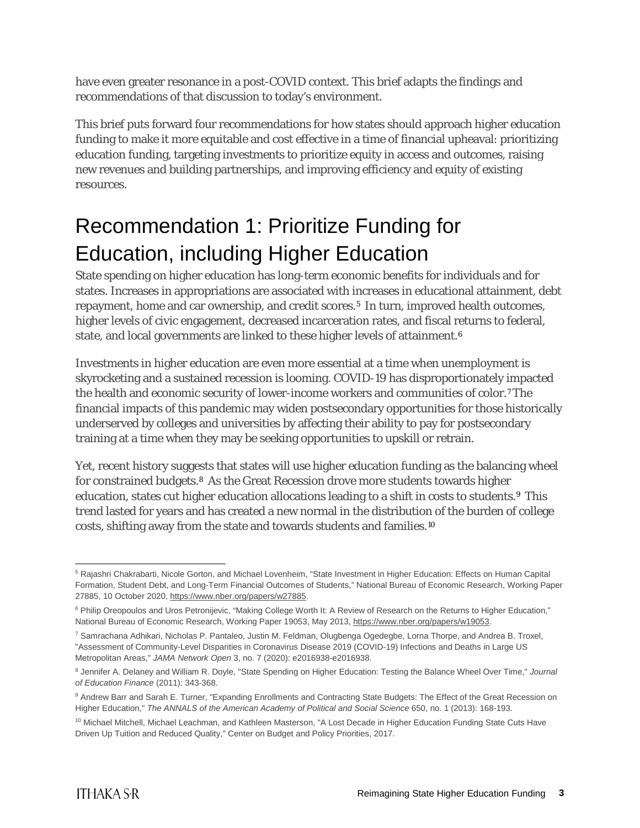have even greater resonance in a post-COVID context. This brief adapts the findings and recommendations of that discussion to today's environment.

This brief puts forward four recommendations for how states should approach higher education funding to make it more equitable and cost effective in a time of financial upheaval: prioritizing education funding, targeting investments to prioritize equity in access and outcomes, raising new revenues and building partnerships, and improving efficiency and equity of existing resources.

# Recommendation 1: Prioritize Funding for Education, including Higher Education

State spending on higher education has long-term economic benefits for individuals and for states. Increases in appropriations are associated with increases in educational attainment, debt repayment, home and car ownership, and credit scores.<sup>[5](#page-3-0)</sup> In turn, improved health outcomes, higher levels of civic engagement, decreased incarceration rates, and fiscal returns to federal, state, and local governments are linked to these higher levels of attainment.<sup>[6](#page-3-1)</sup>

Investments in higher education are even more essential at a time when unemployment is skyrocketing and a sustained recession is looming. COVID-19 has disproportionately impacted the health and economic security of lower-income workers and communities of color.[7](#page-3-2)The financial impacts of this pandemic may widen postsecondary opportunities for those historically underserved by colleges and universities by affecting their ability to pay for postsecondary training at a time when they may be seeking opportunities to upskill or retrain.

Yet, recent history suggests that states will use higher education funding as the balancing wheel for constrained budgets[.8](#page-3-3) As the Great Recession drove more students towards higher education, states cut higher education allocations leading to a shift in costs to students.[9](#page-3-4) This trend lasted for years and has created a new normal in the distribution of the burden of college costs, shifting away from the state and towards students and families.[10](#page-3-5)

<span id="page-3-0"></span><sup>5</sup> Rajashri Chakrabarti, Nicole Gorton, and Michael Lovenheim, "State Investment in Higher Education: Effects on Human Capital Formation, Student Debt, and Long-Term Financial Outcomes of Students," National Bureau of Economic Research, Working Paper 27885, 10 October 2020, [https://www.nber.org/papers/w27885.](https://www.nber.org/papers/w27885)

<span id="page-3-1"></span><sup>&</sup>lt;sup>6</sup> Philip Oreopoulos and Uros Petronijevic, "Making College Worth It: A Review of Research on the Returns to Higher Education," National Bureau of Economic Research, Working Paper 19053, May 2013, [https://www.nber.org/papers/w19053.](https://www.nber.org/papers/w19053)

<span id="page-3-2"></span><sup>7</sup> Samrachana Adhikari, Nicholas P. Pantaleo, Justin M. Feldman, Olugbenga Ogedegbe, Lorna Thorpe, and Andrea B. Troxel, "Assessment of Community-Level Disparities in Coronavirus Disease 2019 (COVID-19) Infections and Deaths in Large US Metropolitan Areas," *JAMA Network Open* 3, no. 7 (2020): e2016938-e2016938.

<span id="page-3-3"></span><sup>8</sup> Jennifer A. Delaney and William R. Doyle, "State Spending on Higher Education: Testing the Balance Wheel Over Time," *Journal of Education Finance* (2011): 343-368.

<span id="page-3-4"></span><sup>9</sup> Andrew Barr and Sarah E. Turner, "Expanding Enrollments and Contracting State Budgets: The Effect of the Great Recession on Higher Education," *The ANNALS of the American Academy of Political and Social Science* 650, no. 1 (2013): 168-193.

<span id="page-3-5"></span><sup>&</sup>lt;sup>10</sup> Michael Mitchell, Michael Leachman, and Kathleen Masterson, "A Lost Decade in Higher Education Funding State Cuts Have Driven Up Tuition and Reduced Quality," Center on Budget and Policy Priorities, 2017.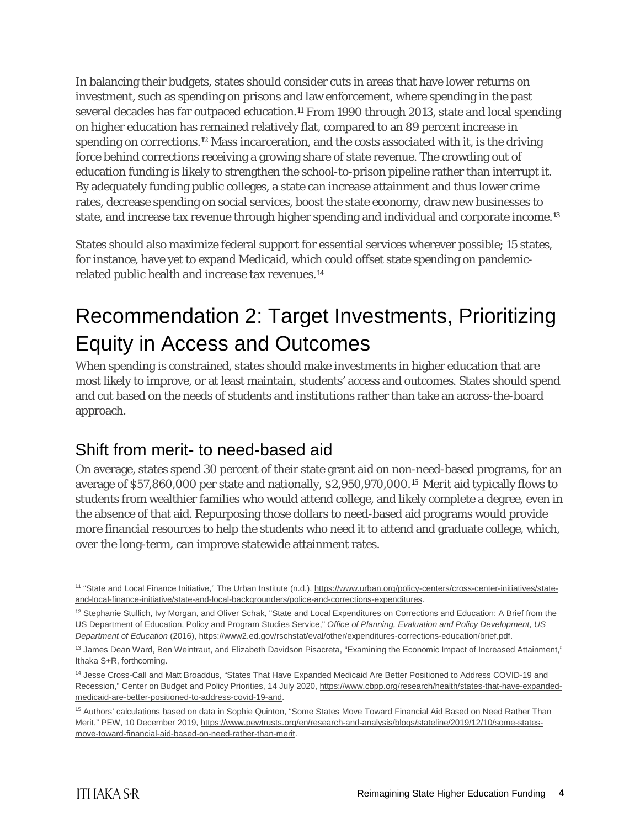In balancing their budgets, states should consider cuts in areas that have lower returns on investment, such as spending on prisons and law enforcement, where spending in the past several decades has far outpaced education.<sup>[11](#page-4-0)</sup> From 1990 through 2013, state and local spending on higher education has remained relatively flat, compared to an 89 percent increase in spending on corrections.[12](#page-4-1) Mass incarceration, and the costs associated with it, is the driving force behind corrections receiving a growing share of state revenue. The crowding out of education funding is likely to strengthen the school-to-prison pipeline rather than interrupt it. By adequately funding public colleges, a state can increase attainment and thus lower crime rates, decrease spending on social services, boost the state economy, draw new businesses to state, and increase tax revenue through higher spending and individual and corporate income.[13](#page-4-2)

States should also maximize federal support for essential services wherever possible; 15 states, for instance, have yet to expand Medicaid, which could offset state spending on pandemicrelated public health and increase tax revenues.[14](#page-4-3)

# Recommendation 2: Target Investments, Prioritizing Equity in Access and Outcomes

When spending is constrained, states should make investments in higher education that are most likely to improve, or at least maintain, students' access and outcomes. States should spend and cut based on the needs of students and institutions rather than take an across-the-board approach.

#### Shift from merit- to need-based aid

On average, states spend 30 percent of their state grant aid on non-need-based programs, for an average of \$57,860,000 per state and nationally, \$2,950,970,000.[15](#page-4-4) Merit aid typically flows to students from wealthier families who would attend college, and likely complete a degree, even in the absence of that aid. Repurposing those dollars to need-based aid programs would provide more financial resources to help the students who need it to attend and graduate college, which, over the long-term, can improve statewide attainment rates.

<span id="page-4-0"></span><sup>&</sup>lt;sup>11</sup> "State and Local Finance Initiative," The Urban Institute (n.d.), [https://www.urban.org/policy-centers/cross-center-initiatives/state](https://www.urban.org/policy-centers/cross-center-initiatives/state-and-local-finance-initiative/state-and-local-backgrounders/police-and-corrections-expenditures)[and-local-finance-initiative/state-and-local-backgrounders/police-and-corrections-expenditures.](https://www.urban.org/policy-centers/cross-center-initiatives/state-and-local-finance-initiative/state-and-local-backgrounders/police-and-corrections-expenditures)

<span id="page-4-1"></span><sup>&</sup>lt;sup>12</sup> Stephanie Stullich, Ivy Morgan, and Oliver Schak, "State and Local Expenditures on Corrections and Education: A Brief from the US Department of Education, Policy and Program Studies Service," *Office of Planning, Evaluation and Policy Development, US Department of Education* (2016)[, https://www2.ed.gov/rschstat/eval/other/expenditures-corrections-education/brief.pdf.](https://www2.ed.gov/rschstat/eval/other/expenditures-corrections-education/brief.pdf)

<span id="page-4-2"></span><sup>13</sup> James Dean Ward, Ben Weintraut, and Elizabeth Davidson Pisacreta, "Examining the Economic Impact of Increased Attainment," Ithaka S+R, forthcoming.

<span id="page-4-3"></span><sup>14</sup> Jesse Cross-Call and Matt Broaddus, "States That Have Expanded Medicaid Are Better Positioned to Address COVID-19 and Recession," Center on Budget and Policy Priorities, 14 July 2020, [https://www.cbpp.org/research/health/states-that-have-expanded](https://www.cbpp.org/research/health/states-that-have-expanded-medicaid-are-better-positioned-to-address-covid-19-and)[medicaid-are-better-positioned-to-address-covid-19-and.](https://www.cbpp.org/research/health/states-that-have-expanded-medicaid-are-better-positioned-to-address-covid-19-and)

<span id="page-4-4"></span><sup>&</sup>lt;sup>15</sup> Authors' calculations based on data in Sophie Quinton, "Some States Move Toward Financial Aid Based on Need Rather Than Merit," PEW, 10 December 2019, [https://www.pewtrusts.org/en/research-and-analysis/blogs/stateline/2019/12/10/some-states](https://www.pewtrusts.org/en/research-and-analysis/blogs/stateline/2019/12/10/some-states-move-toward-financial-aid-based-on-need-rather-than-merit)[move-toward-financial-aid-based-on-need-rather-than-merit.](https://www.pewtrusts.org/en/research-and-analysis/blogs/stateline/2019/12/10/some-states-move-toward-financial-aid-based-on-need-rather-than-merit)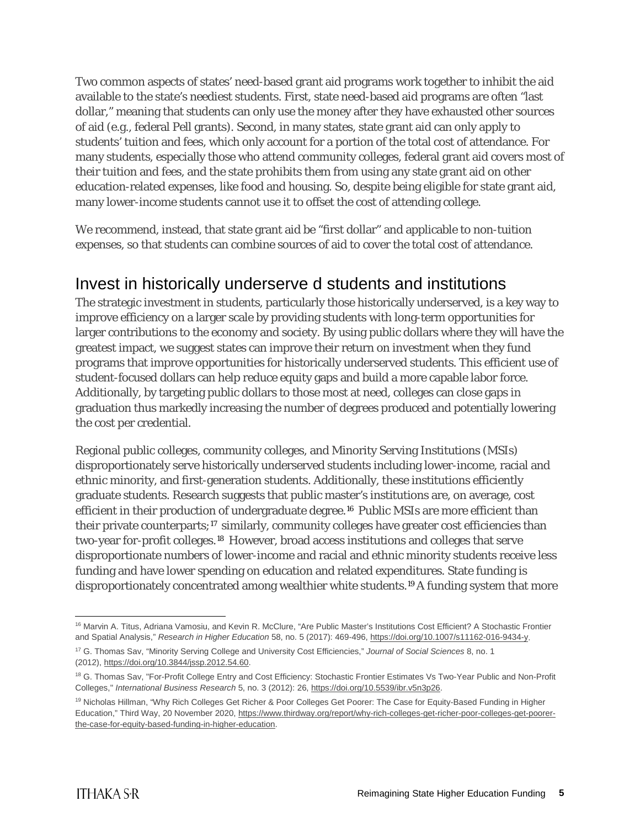Two common aspects of states' need-based grant aid programs work together to inhibit the aid available to the state's neediest students. First, state need-based aid programs are often "last dollar," meaning that students can only use the money after they have exhausted other sources of aid (e.g., federal Pell grants). Second, in many states, state grant aid can only apply to students' tuition and fees, which only account for a portion of the total cost of attendance. For many students, especially those who attend community colleges, federal grant aid covers most of their tuition and fees, and the state prohibits them from using any state grant aid on other education-related expenses, like food and housing. So, despite being eligible for state grant aid, many lower-income students cannot use it to offset the cost of attending college.

We recommend, instead, that state grant aid be "first dollar" and applicable to non-tuition expenses, so that students can combine sources of aid to cover the total cost of attendance.

### Invest in historically underserve d students and institutions

The strategic investment in students, particularly those historically underserved, is a key way to improve efficiency on a larger scale by providing students with long-term opportunities for larger contributions to the economy and society. By using public dollars where they will have the greatest impact, we suggest states can improve their return on investment when they fund programs that improve opportunities for historically underserved students. This efficient use of student-focused dollars can help reduce equity gaps and build a more capable labor force. Additionally, by targeting public dollars to those most at need, colleges can close gaps in graduation thus markedly increasing the number of degrees produced and potentially lowering the cost per credential.

Regional public colleges, community colleges, and Minority Serving Institutions (MSIs) disproportionately serve historically underserved students including lower-income, racial and ethnic minority, and first-generation students. Additionally, these institutions efficiently graduate students. Research suggests that public master's institutions are, on average, cost efficient in their production of undergraduate degree.[16](#page-5-0) Public MSIs are more efficient than their private counterparts;<sup>[17](#page-5-1)</sup> similarly, community colleges have greater cost efficiencies than two-year for-profit colleges.[18](#page-5-2) However, broad access institutions and colleges that serve disproportionate numbers of lower-income and racial and ethnic minority students receive less funding and have lower spending on education and related expenditures. State funding is disproportionately concentrated among wealthier white students.[19](#page-5-3)A funding system that more

<span id="page-5-0"></span><sup>&</sup>lt;sup>16</sup> Marvin A. Titus, Adriana Vamosiu, and Kevin R. McClure, "Are Public Master's Institutions Cost Efficient? A Stochastic Frontier and Spatial Analysis," *Research in Higher Education* 58, no. 5 (2017): 469-496, [https://doi.org/10.1007/s11162-016-9434-y.](https://doi.org/10.1007/s11162-016-9434-y) 

<span id="page-5-1"></span><sup>17</sup> G. Thomas Sav, "Minority Serving College and University Cost Efficiencies," *Journal of Social Sciences* 8, no. 1 (2012), [https://doi.org/10.3844/jssp.2012.54.60.](https://doi.org/10.3844/jssp.2012.54.60)

<span id="page-5-2"></span><sup>&</sup>lt;sup>18</sup> G. Thomas Sav, "For-Profit College Entry and Cost Efficiency: Stochastic Frontier Estimates Vs Two-Year Public and Non-Profit Colleges," *International Business Research* 5, no. 3 (2012): 26[, https://doi.org/10.5539/ibr.v5n3p26.](https://doi.org/10.5539/ibr.v5n3p26) 

<span id="page-5-3"></span><sup>&</sup>lt;sup>19</sup> Nicholas Hillman, "Why Rich Colleges Get Richer & Poor Colleges Get Poorer: The Case for Equity-Based Funding in Higher Education," Third Way, 20 November 2020, [https://www.thirdway.org/report/why-rich-colleges-get-richer-poor-colleges-get-poorer](https://www.thirdway.org/report/why-rich-colleges-get-richer-poor-colleges-get-poorer-the-case-for-equity-based-funding-in-higher-education)[the-case-for-equity-based-funding-in-higher-education.](https://www.thirdway.org/report/why-rich-colleges-get-richer-poor-colleges-get-poorer-the-case-for-equity-based-funding-in-higher-education)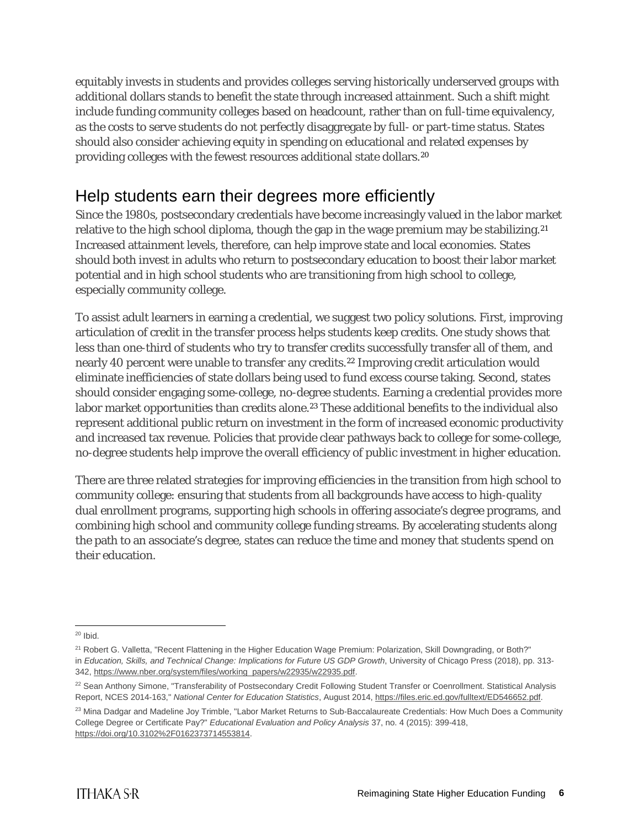equitably invests in students and provides colleges serving historically underserved groups with additional dollars stands to benefit the state through increased attainment. Such a shift might include funding community colleges based on headcount, rather than on full-time equivalency, as the costs to serve students do not perfectly disaggregate by full- or part-time status. States should also consider achieving equity in spending on educational and related expenses by providing colleges with the fewest resources additional state dollars.[20](#page-6-0)

## Help students earn their degrees more efficiently

Since the 1980s, postsecondary credentials have become increasingly valued in the labor market relative to the high school diploma, though the gap in the wage premium may be stabilizing.<sup>[21](#page-6-1)</sup> Increased attainment levels, therefore, can help improve state and local economies. States should both invest in adults who return to postsecondary education to boost their labor market potential and in high school students who are transitioning from high school to college, especially community college.

To assist adult learners in earning a credential, we suggest two policy solutions. First, improving articulation of credit in the transfer process helps students keep credits. One study shows that less than one-third of students who try to transfer credits successfully transfer all of them, and nearly 40 percent were unable to transfer any credits.[22](#page-6-2) Improving credit articulation would eliminate inefficiencies of state dollars being used to fund excess course taking. Second, states should consider engaging some-college, no-degree students. Earning a credential provides more labor market opportunities than credits alone.<sup>[23](#page-6-3)</sup> These additional benefits to the individual also represent additional public return on investment in the form of increased economic productivity and increased tax revenue. Policies that provide clear pathways back to college for some-college, no-degree students help improve the overall efficiency of public investment in higher education.

There are three related strategies for improving efficiencies in the transition from high school to community college: ensuring that students from all backgrounds have access to high-quality dual enrollment programs, supporting high schools in offering associate's degree programs, and combining high school and community college funding streams. By accelerating students along the path to an associate's degree, states can reduce the time and money that students spend on their education.

<span id="page-6-0"></span> $20$  Ibid.

<span id="page-6-1"></span><sup>&</sup>lt;sup>21</sup> Robert G. Valletta, "Recent Flattening in the Higher Education Wage Premium: Polarization, Skill Downgrading, or Both?" in *Education, Skills, and Technical Change: Implications for Future US GDP Growth*, University of Chicago Press (2018), pp. 313- 342, [https://www.nber.org/system/files/working\\_papers/w22935/w22935.pdf.](https://www.nber.org/system/files/working_papers/w22935/w22935.pdf)

<span id="page-6-2"></span><sup>&</sup>lt;sup>22</sup> Sean Anthony Simone, "Transferability of Postsecondary Credit Following Student Transfer or Coenrollment. Statistical Analysis Report, NCES 2014-163," *National Center for Education Statistics*, August 2014, [https://files.eric.ed.gov/fulltext/ED546652.pdf.](https://files.eric.ed.gov/fulltext/ED546652.pdf) 

<span id="page-6-3"></span><sup>&</sup>lt;sup>23</sup> Mina Dadgar and Madeline Joy Trimble, "Labor Market Returns to Sub-Baccalaureate Credentials: How Much Does a Community College Degree or Certificate Pay?" *Educational Evaluation and Policy Analysis* 37, no. 4 (2015): 399-418, [https://doi.org/10.3102%2F0162373714553814.](https://doi.org/10.3102%2F0162373714553814)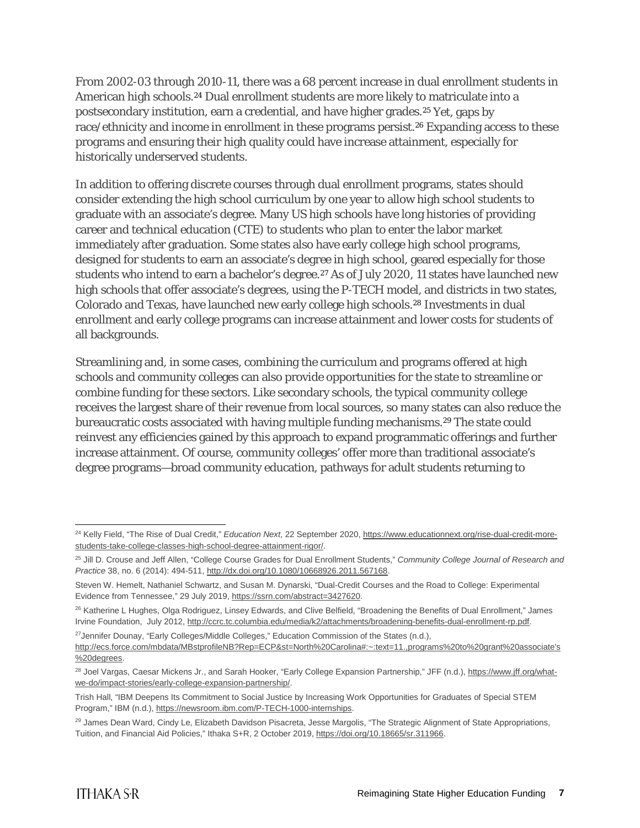From 2002-03 through 2010-11, there was a 68 percent increase in dual enrollment students in American high schools.<sup>[24](#page-7-0)</sup> Dual enrollment students are more likely to matriculate into a postsecondary institution, earn a credential, and have higher grades.[25](#page-7-1) Yet, gaps by race/ethnicity and income in enrollment in these programs persist.<sup>[26](#page-7-2)</sup> Expanding access to these programs and ensuring their high quality could have increase attainment, especially for historically underserved students.

In addition to offering discrete courses through dual enrollment programs, states should consider extending the high school curriculum by one year to allow high school students to graduate with an associate's degree. Many US high schools have long histories of providing career and technical education (CTE) to students who plan to enter the labor market immediately after graduation. Some states also have early college high school programs, designed for students to earn an associate's degree in high school, geared especially for those students who intend to earn a bachelor's degree.[27](#page-7-3) As of July 2020, 11 states have launched new high schools that offer associate's degrees, using the P-TECH model, and districts in two states, Colorado and Texas, have launched new early college high schools.[28](#page-7-4) Investments in dual enrollment and early college programs can increase attainment and lower costs for students of all backgrounds.

Streamlining and, in some cases, combining the curriculum and programs offered at high schools and community colleges can also provide opportunities for the state to streamline or combine funding for these sectors. Like secondary schools, the typical community college receives the largest share of their revenue from local sources, so many states can also reduce the bureaucratic costs associated with having multiple funding mechanisms.[29](#page-7-5) The state could reinvest any efficiencies gained by this approach to expand programmatic offerings and further increase attainment. Of course, community colleges' offer more than traditional associate's degree programs—broad community education, pathways for adult students returning to

<span id="page-7-0"></span><sup>&</sup>lt;sup>24</sup> Kelly Field, "The Rise of Dual Credit," Education Next, 22 September 2020[, https://www.educationnext.org/rise-dual-credit-more](https://www.educationnext.org/rise-dual-credit-more-students-take-college-classes-high-school-degree-attainment-rigor/)[students-take-college-classes-high-school-degree-attainment-rigor/.](https://www.educationnext.org/rise-dual-credit-more-students-take-college-classes-high-school-degree-attainment-rigor/) 

<span id="page-7-1"></span><sup>25</sup> Jill D. Crouse and Jeff Allen, "College Course Grades for Dual Enrollment Students," *Community College Journal of Research and Practice* 38, no. 6 (2014): 494-511, [http://dx.doi.org/10.1080/10668926.2011.567168.](http://dx.doi.org/10.1080/10668926.2011.567168)

Steven W. Hemelt, Nathaniel Schwartz, and Susan M. Dynarski, "Dual-Credit Courses and the Road to College: Experimental Evidence from Tennessee," 29 July 2019, [https://ssrn.com/abstract=3427620.](https://ssrn.com/abstract=3427620)

<span id="page-7-2"></span><sup>&</sup>lt;sup>26</sup> Katherine L Hughes, Olga Rodriguez, Linsey Edwards, and Clive Belfield, "Broadening the Benefits of Dual Enrollment," James Irvine Foundation, July 2012, http://ccrc.tc.columbia.edu/media/k2/attachments/broadening-benefits-dual-enrollment-rp.pdf.

<span id="page-7-3"></span><sup>&</sup>lt;sup>27</sup> Jennifer Dounay, "Early Colleges/Middle Colleges," Education Commission of the States (n.d.), [http://ecs.force.com/mbdata/MBstprofileNB?Rep=ECP&st=North%20Carolina#:~:text=11.,programs%20to%20grant%20associate's](http://ecs.force.com/mbdata/MBstprofileNB?Rep=ECP&st=North%20Carolina#:%7E:text=11.,programs%20to%20grant%20associate) [%20degrees.](http://ecs.force.com/mbdata/MBstprofileNB?Rep=ECP&st=North%20Carolina#:%7E:text=11.,programs%20to%20grant%20associate)

<span id="page-7-4"></span><sup>&</sup>lt;sup>28</sup> Joel Vargas, Caesar Mickens Jr., and Sarah Hooker, "Early College Expansion Partnership," JFF (n.d.), [https://www.jff.org/what](https://www.jff.org/what-we-do/impact-stories/early-college-expansion-partnership/)[we-do/impact-stories/early-college-expansion-partnership/.](https://www.jff.org/what-we-do/impact-stories/early-college-expansion-partnership/) 

Trish Hall, "IBM Deepens Its Commitment to Social Justice by Increasing Work Opportunities for Graduates of Special STEM Program," IBM (n.d.)[, https://newsroom.ibm.com/P-TECH-1000-internships.](https://newsroom.ibm.com/P-TECH-1000-internships) 

<span id="page-7-5"></span><sup>&</sup>lt;sup>29</sup> James Dean Ward, Cindy Le, Elizabeth Davidson Pisacreta, Jesse Margolis, "The Strategic Alignment of State Appropriations, Tuition, and Financial Aid Policies," Ithaka S+R, 2 October 2019[, https://doi.org/10.18665/sr.311966.](https://doi.org/10.18665/sr.311966)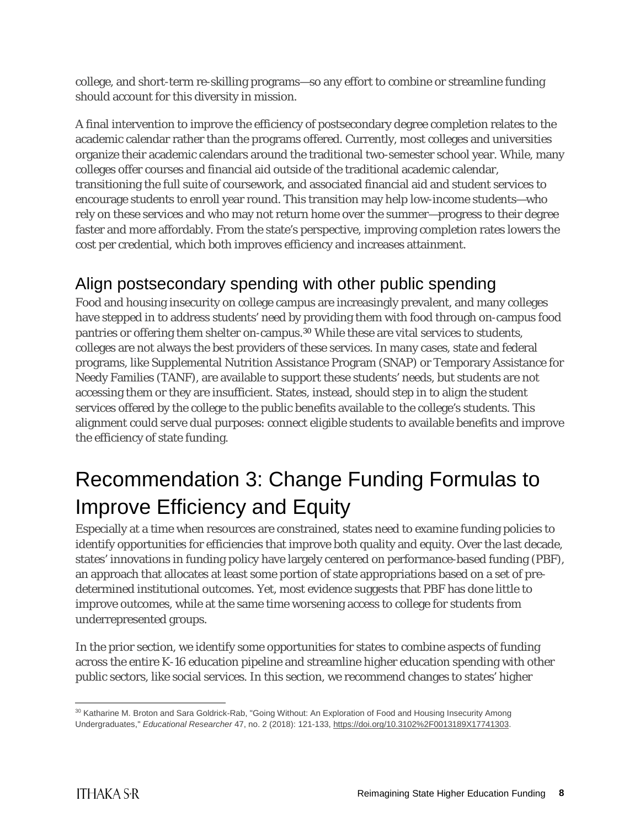college, and short-term re-skilling programs—so any effort to combine or streamline funding should account for this diversity in mission.

A final intervention to improve the efficiency of postsecondary degree completion relates to the academic calendar rather than the programs offered. Currently, most colleges and universities organize their academic calendars around the traditional two-semester school year. While, many colleges offer courses and financial aid outside of the traditional academic calendar, transitioning the full suite of coursework, and associated financial aid and student services to encourage students to enroll year round. This transition may help low-income students—who rely on these services and who may not return home over the summer—progress to their degree faster and more affordably. From the state's perspective, improving completion rates lowers the cost per credential, which both improves efficiency and increases attainment.

## Align postsecondary spending with other public spending

Food and housing insecurity on college campus are increasingly prevalent, and many colleges have stepped in to address students' need by providing them with food through on-campus food pantries or offering them shelter on-campus.[30](#page-8-0) While these are vital services to students, colleges are not always the best providers of these services. In many cases, state and federal programs, like Supplemental Nutrition Assistance Program (SNAP) or Temporary Assistance for Needy Families (TANF), are available to support these students' needs, but students are not accessing them or they are insufficient. States, instead, should step in to align the student services offered by the college to the public benefits available to the college's students. This alignment could serve dual purposes: connect eligible students to available benefits and improve the efficiency of state funding.

# Recommendation 3: Change Funding Formulas to Improve Efficiency and Equity

Especially at a time when resources are constrained, states need to examine funding policies to identify opportunities for efficiencies that improve both quality and equity. Over the last decade, states' innovations in funding policy have largely centered on performance-based funding (PBF), an approach that allocates at least some portion of state appropriations based on a set of predetermined institutional outcomes. Yet, most evidence suggests that PBF has done little to improve outcomes, while at the same time worsening access to college for students from underrepresented groups.

In the prior section, we identify some opportunities for states to combine aspects of funding across the entire K-16 education pipeline and streamline higher education spending with other public sectors, like social services. In this section, we recommend changes to states' higher

<span id="page-8-0"></span><sup>30</sup> Katharine M. Broton and Sara Goldrick-Rab, "Going Without: An Exploration of Food and Housing Insecurity Among Undergraduates," *Educational Researcher* 47, no. 2 (2018): 121-133, [https://doi.org/10.3102%2F0013189X17741303.](https://doi.org/10.3102%2F0013189X17741303)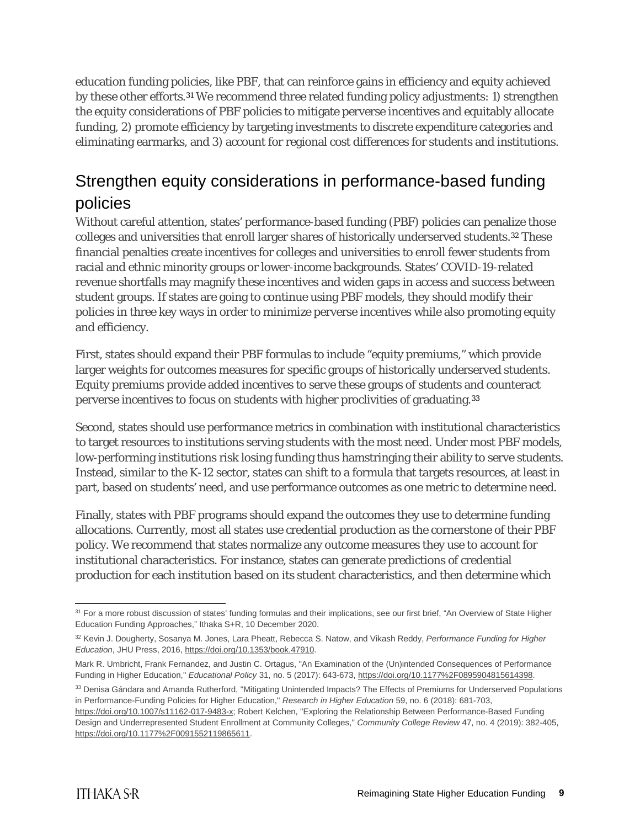education funding policies, like PBF, that can reinforce gains in efficiency and equity achieved by these other efforts.[31](#page-9-0) We recommend three related funding policy adjustments: 1) strengthen the equity considerations of PBF policies to mitigate perverse incentives and equitably allocate funding, 2) promote efficiency by targeting investments to discrete expenditure categories and eliminating earmarks, and 3) account for regional cost differences for students and institutions.

## Strengthen equity considerations in performance-based funding policies

Without careful attention, states' performance-based funding (PBF) policies can penalize those colleges and universities that enroll larger shares of historically underserved students.[32](#page-9-1) These financial penalties create incentives for colleges and universities to enroll fewer students from racial and ethnic minority groups or lower-income backgrounds. States' COVID-19-related revenue shortfalls may magnify these incentives and widen gaps in access and success between student groups. If states are going to continue using PBF models, they should modify their policies in three key ways in order to minimize perverse incentives while also promoting equity and efficiency.

First, states should expand their PBF formulas to include "equity premiums," which provide larger weights for outcomes measures for specific groups of historically underserved students. Equity premiums provide added incentives to serve these groups of students and counteract perverse incentives to focus on students with higher proclivities of graduating.[33](#page-9-2)

Second, states should use performance metrics in combination with institutional characteristics to target resources to institutions serving students with the most need. Under most PBF models, low-performing institutions risk losing funding thus hamstringing their ability to serve students. Instead, similar to the K-12 sector, states can shift to a formula that targets resources, at least in part, based on students' need, and use performance outcomes as one metric to determine need.

Finally, states with PBF programs should expand the outcomes they use to determine funding allocations. Currently, most all states use credential production as the cornerstone of their PBF policy. We recommend that states normalize any outcome measures they use to account for institutional characteristics. For instance, states can generate predictions of credential production for each institution based on its student characteristics, and then determine which

<span id="page-9-0"></span><sup>&</sup>lt;sup>31</sup> For a more robust discussion of states' funding formulas and their implications, see our first brief, "An Overview of State Higher Education Funding Approaches," Ithaka S+R, 10 December 2020.

<span id="page-9-1"></span><sup>32</sup> Kevin J. Dougherty, Sosanya M. Jones, Lara Pheatt, Rebecca S. Natow, and Vikash Reddy, *Performance Funding for Higher Education*, JHU Press, 2016, [https://doi.org/10.1353/book.47910.](https://doi.org/10.1353/book.47910)

Mark R. Umbricht, Frank Fernandez, and Justin C. Ortagus, "An Examination of the (Un)intended Consequences of Performance Funding in Higher Education," *Educational Policy* 31, no. 5 (2017): 643-673[, https://doi.org/10.1177%2F0895904815614398.](https://doi.org/10.1177%2F0895904815614398)

<span id="page-9-2"></span><sup>33</sup> Denisa Gándara and Amanda Rutherford, "Mitigating Unintended Impacts? The Effects of Premiums for Underserved Populations in Performance-Funding Policies for Higher Education," *Research in Higher Education* 59, no. 6 (2018): 681-703,

[https://doi.org/10.1007/s11162-017-9483-x;](https://doi.org/10.1007/s11162-017-9483-x) Robert Kelchen, "Exploring the Relationship Between Performance-Based Funding Design and Underrepresented Student Enrollment at Community Colleges," Community College Review 47, no. 4 (2019): 382-405, [https://doi.org/10.1177%2F0091552119865611.](https://doi.org/10.1177%2F0091552119865611)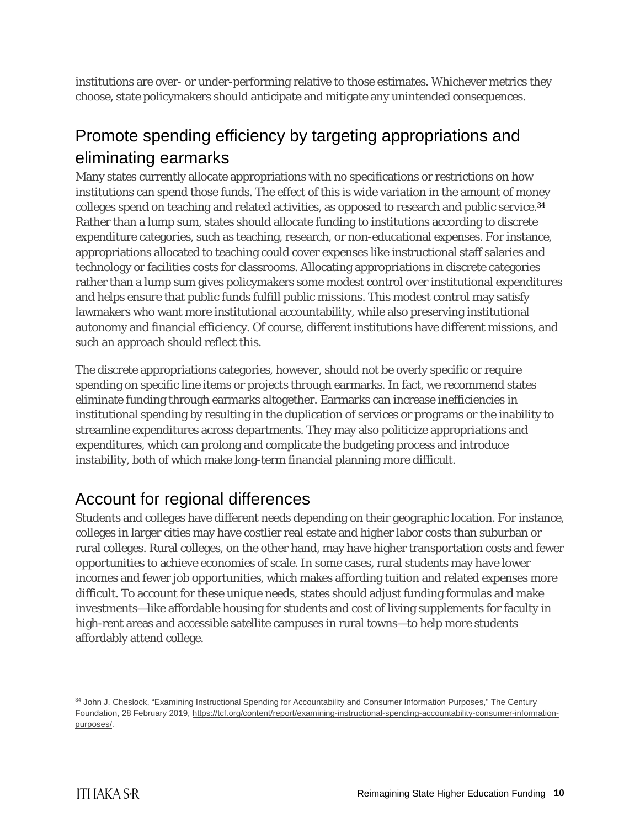institutions are over- or under-performing relative to those estimates. Whichever metrics they choose, state policymakers should anticipate and mitigate any unintended consequences.

## Promote spending efficiency by targeting appropriations and eliminating earmarks

Many states currently allocate appropriations with no specifications or restrictions on how institutions can spend those funds. The effect of this is wide variation in the amount of money colleges spend on teaching and related activities, as opposed to research and public service.<sup>[34](#page-10-0)</sup> Rather than a lump sum, states should allocate funding to institutions according to discrete expenditure categories, such as teaching, research, or non-educational expenses. For instance, appropriations allocated to teaching could cover expenses like instructional staff salaries and technology or facilities costs for classrooms. Allocating appropriations in discrete categories rather than a lump sum gives policymakers some modest control over institutional expenditures and helps ensure that public funds fulfill public missions. This modest control may satisfy lawmakers who want more institutional accountability, while also preserving institutional autonomy and financial efficiency. Of course, different institutions have different missions, and such an approach should reflect this.

The discrete appropriations categories, however, should not be overly specific or require spending on specific line items or projects through earmarks. In fact, we recommend states eliminate funding through earmarks altogether. Earmarks can increase inefficiencies in institutional spending by resulting in the duplication of services or programs or the inability to streamline expenditures across departments. They may also politicize appropriations and expenditures, which can prolong and complicate the budgeting process and introduce instability, both of which make long-term financial planning more difficult.

## Account for regional differences

Students and colleges have different needs depending on their geographic location. For instance, colleges in larger cities may have costlier real estate and higher labor costs than suburban or rural colleges. Rural colleges, on the other hand, may have higher transportation costs and fewer opportunities to achieve economies of scale. In some cases, rural students may have lower incomes and fewer job opportunities, which makes affording tuition and related expenses more difficult. To account for these unique needs, states should adjust funding formulas and make investments—like affordable housing for students and cost of living supplements for faculty in high-rent areas and accessible satellite campuses in rural towns—to help more students affordably attend college.

<span id="page-10-0"></span><sup>34</sup> John J. Cheslock, "Examining Instructional Spending for Accountability and Consumer Information Purposes," The Century Foundation, 28 February 2019, [https://tcf.org/content/report/examining-instructional-spending-accountability-consumer-information](https://tcf.org/content/report/examining-instructional-spending-accountability-consumer-information-purposes/)[purposes/.](https://tcf.org/content/report/examining-instructional-spending-accountability-consumer-information-purposes/)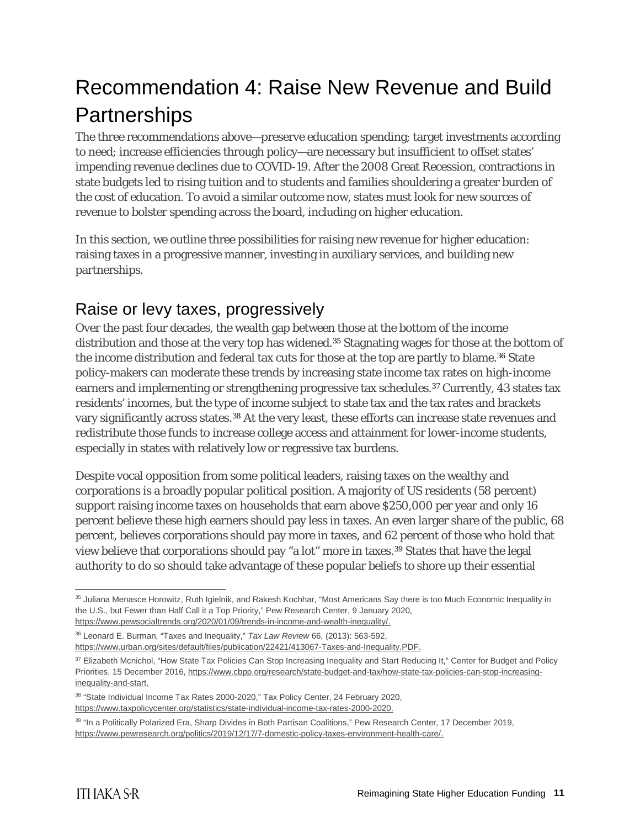# Recommendation 4: Raise New Revenue and Build **Partnerships**

The three recommendations above—preserve education spending; target investments according to need; increase efficiencies through policy—are necessary but insufficient to offset states' impending revenue declines due to COVID-19. After the 2008 Great Recession, contractions in state budgets led to rising tuition and to students and families shouldering a greater burden of the cost of education. To avoid a similar outcome now, states must look for new sources of revenue to bolster spending across the board, including on higher education.

In this section, we outline three possibilities for raising new revenue for higher education: raising taxes in a progressive manner, investing in auxiliary services, and building new partnerships.

#### Raise or levy taxes, progressively

Over the past four decades, the wealth gap between those at the bottom of the income distribution and those at the very top has widened.<sup>[35](#page-11-0)</sup> Stagnating wages for those at the bottom of the income distribution and federal tax cuts for those at the top are partly to blame.<sup>[36](#page-11-1)</sup> State policy-makers can moderate these trends by increasing state income tax rates on high-income earners and implementing or strengthening progressive tax schedules.[37](#page-11-2) Currently, 43 states tax residents' incomes, but the type of income subject to state tax and the tax rates and brackets vary significantly across states.[38](#page-11-3) At the very least, these efforts can increase state revenues and redistribute those funds to increase college access and attainment for lower-income students, especially in states with relatively low or regressive tax burdens.

Despite vocal opposition from some political leaders, raising taxes on the wealthy and corporations is a broadly popular political position. A majority of US residents (58 percent) support raising income taxes on households that earn above \$250,000 per year and only 16 percent believe these high earners should pay less in taxes. An even larger share of the public, 68 percent, believes corporations should pay more in taxes, and 62 percent of those who hold that view believe that corporations should pay "a lot" more in taxes.<sup>[39](#page-11-4)</sup> States that have the legal authority to do so should take advantage of these popular beliefs to shore up their essential

<span id="page-11-0"></span> <sup>35</sup> Juliana Menasce Horowitz, Ruth Igielnik, and Rakesh Kochhar, "Most Americans Say there is too Much Economic Inequality in the U.S., but Fewer than Half Call it a Top Priority," Pew Research Center, 9 January 2020, [https://www.pewsocialtrends.org/2020/01/09/trends-in-income-and-wealth-inequality/.](https://www.pewsocialtrends.org/2020/01/09/trends-in-income-and-wealth-inequality/)

<span id="page-11-1"></span><sup>36</sup> Leonard E. Burman, "Taxes and Inequality," *Tax Law Review* 66, (2013): 563-592,

[https://www.urban.org/sites/default/files/publication/22421/413067-Taxes-and-Inequality.PDF.](https://www.urban.org/sites/default/files/publication/22421/413067-Taxes-and-Inequality.PDF)

<span id="page-11-2"></span><sup>37</sup> Elizabeth Mcnichol, "How State Tax Policies Can Stop Increasing Inequality and Start Reducing It," Center for Budget and Policy Priorities, 15 December 2016, [https://www.cbpp.org/research/state-budget-and-tax/how-state-tax-policies-can-stop-increasing](https://www.cbpp.org/research/state-budget-and-tax/how-state-tax-policies-can-stop-increasing-inequality-and-start)[inequality-and-start.](https://www.cbpp.org/research/state-budget-and-tax/how-state-tax-policies-can-stop-increasing-inequality-and-start)

<span id="page-11-3"></span><sup>38</sup> "State Individual Income Tax Rates 2000-2020," Tax Policy Center, 24 February 2020, [https://www.taxpolicycenter.org/statistics/state-individual-income-tax-rates-2000-2020.](https://www.taxpolicycenter.org/statistics/state-individual-income-tax-rates-2000-2020)

<span id="page-11-4"></span><sup>39</sup> "In a Politically Polarized Era, Sharp Divides in Both Partisan Coalitions," Pew Research Center, 17 December 2019, [https://www.pewresearch.org/politics/2019/12/17/7-domestic-policy-taxes-environment-health-care/.](https://www.pewresearch.org/politics/2019/12/17/7-domestic-policy-taxes-environment-health-care/)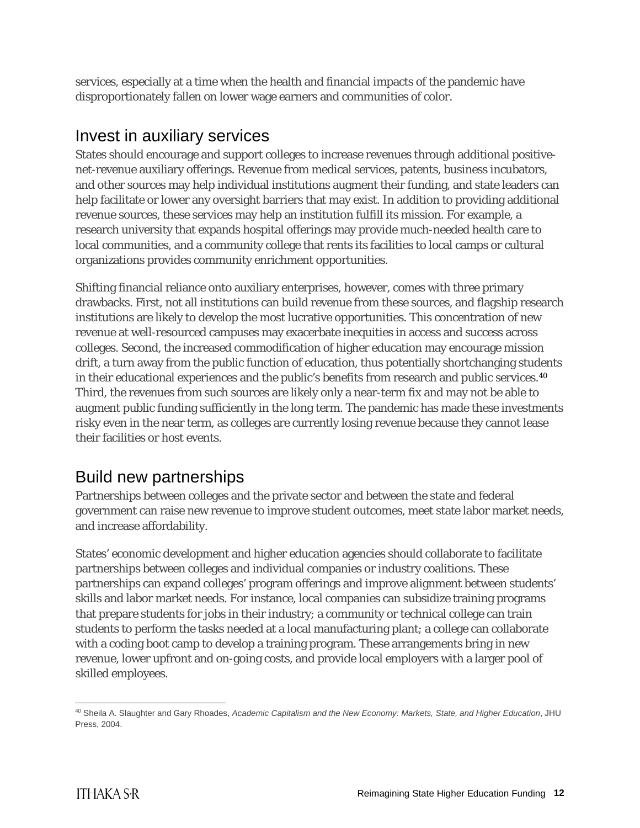services, especially at a time when the health and financial impacts of the pandemic have disproportionately fallen on lower wage earners and communities of color.

#### Invest in auxiliary services

States should encourage and support colleges to increase revenues through additional positivenet-revenue auxiliary offerings. Revenue from medical services, patents, business incubators, and other sources may help individual institutions augment their funding, and state leaders can help facilitate or lower any oversight barriers that may exist. In addition to providing additional revenue sources, these services may help an institution fulfill its mission. For example, a research university that expands hospital offerings may provide much-needed health care to local communities, and a community college that rents its facilities to local camps or cultural organizations provides community enrichment opportunities.

Shifting financial reliance onto auxiliary enterprises, however, comes with three primary drawbacks. First, not all institutions can build revenue from these sources, and flagship research institutions are likely to develop the most lucrative opportunities. This concentration of new revenue at well-resourced campuses may exacerbate inequities in access and success across colleges. Second, the increased commodification of higher education may encourage mission drift, a turn away from the public function of education, thus potentially shortchanging students in their educational experiences and the public's benefits from research and public services.<sup>[40](#page-12-0)</sup> Third, the revenues from such sources are likely only a near-term fix and may not be able to augment public funding sufficiently in the long term. The pandemic has made these investments risky even in the near term, as colleges are currently losing revenue because they cannot lease their facilities or host events.

## Build new partnerships

Partnerships between colleges and the private sector and between the state and federal government can raise new revenue to improve student outcomes, meet state labor market needs, and increase affordability.

States' economic development and higher education agencies should collaborate to facilitate partnerships between colleges and individual companies or industry coalitions. These partnerships can expand colleges' program offerings and improve alignment between students' skills and labor market needs. For instance, local companies can subsidize training programs that prepare students for jobs in their industry; a community or technical college can train students to perform the tasks needed at a local manufacturing plant; a college can collaborate with a coding boot camp to develop a training program. These arrangements bring in new revenue, lower upfront and on-going costs, and provide local employers with a larger pool of skilled employees.

<span id="page-12-0"></span> <sup>40</sup> Sheila A. Slaughter and Gary Rhoades, *Academic Capitalism and the New Economy: Markets, State, and Higher Education*, JHU Press, 2004.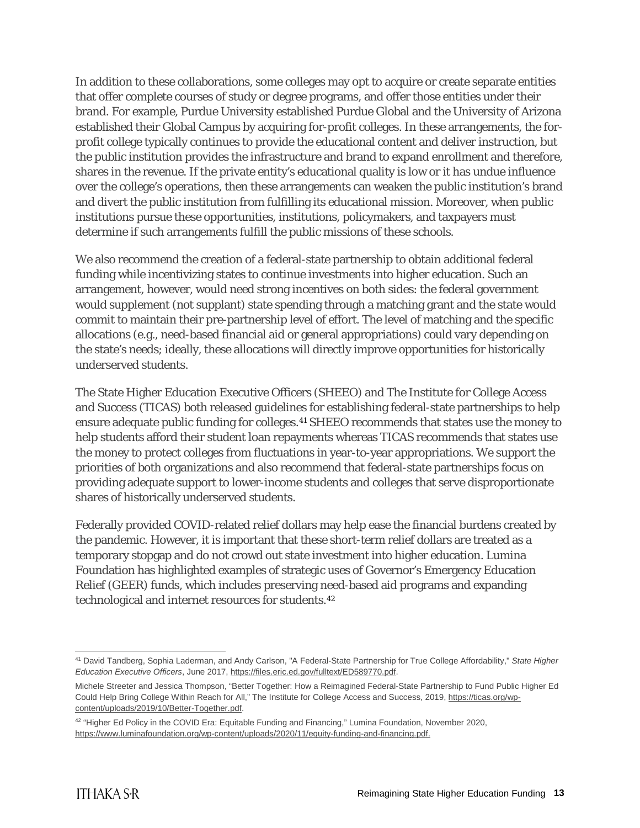In addition to these collaborations, some colleges may opt to acquire or create separate entities that offer complete courses of study or degree programs, and offer those entities under their brand. For example, Purdue University established Purdue Global and the University of Arizona established their Global Campus by acquiring for-profit colleges. In these arrangements, the forprofit college typically continues to provide the educational content and deliver instruction, but the public institution provides the infrastructure and brand to expand enrollment and therefore, shares in the revenue. If the private entity's educational quality is low or it has undue influence over the college's operations, then these arrangements can weaken the public institution's brand and divert the public institution from fulfilling its educational mission. Moreover, when public institutions pursue these opportunities, institutions, policymakers, and taxpayers must determine if such arrangements fulfill the public missions of these schools.

We also recommend the creation of a federal-state partnership to obtain additional federal funding while incentivizing states to continue investments into higher education. Such an arrangement, however, would need strong incentives on both sides: the federal government would supplement (not supplant) state spending through a matching grant and the state would commit to maintain their pre-partnership level of effort. The level of matching and the specific allocations (e.g., need-based financial aid or general appropriations) could vary depending on the state's needs; ideally, these allocations will directly improve opportunities for historically underserved students.

The State Higher Education Executive Officers (SHEEO) and The Institute for College Access and Success (TICAS) both released guidelines for establishing federal-state partnerships to help ensure adequate public funding for colleges.[41](#page-13-0) SHEEO recommends that states use the money to help students afford their student loan repayments whereas TICAS recommends that states use the money to protect colleges from fluctuations in year-to-year appropriations. We support the priorities of both organizations and also recommend that federal-state partnerships focus on providing adequate support to lower-income students and colleges that serve disproportionate shares of historically underserved students.

Federally provided COVID-related relief dollars may help ease the financial burdens created by the pandemic. However, it is important that these short-term relief dollars are treated as a temporary stopgap and do not crowd out state investment into higher education. Lumina Foundation has highlighted examples of strategic uses of Governor's Emergency Education Relief (GEER) funds, which includes preserving need-based aid programs and expanding technological and internet resources for students.[42](#page-13-1)

<span id="page-13-0"></span> <sup>41</sup> David Tandberg, Sophia Laderman, and Andy Carlson, "A Federal-State Partnership for True College Affordability," *State Higher Education Executive Officers*, June 2017[, https://files.eric.ed.gov/fulltext/ED589770.pdf.](https://files.eric.ed.gov/fulltext/ED589770.pdf)

Michele Streeter and Jessica Thompson, "Better Together: How a Reimagined Federal-State Partnership to Fund Public Higher Ed Could Help Bring College Within Reach for All," The Institute for College Access and Success, 2019, [https://ticas.org/wp](https://ticas.org/wp-content/uploads/2019/10/Better-Together.pdf)[content/uploads/2019/10/Better-Together.pdf.](https://ticas.org/wp-content/uploads/2019/10/Better-Together.pdf)

<span id="page-13-1"></span><sup>42 &</sup>quot;Higher Ed Policy in the COVID Era: Equitable Funding and Financing," Lumina Foundation, November 2020, [https://www.luminafoundation.org/wp-content/uploads/2020/11/equity-funding-and-financing.pdf.](https://www.luminafoundation.org/wp-content/uploads/2020/11/equity-funding-and-financing.pdf)